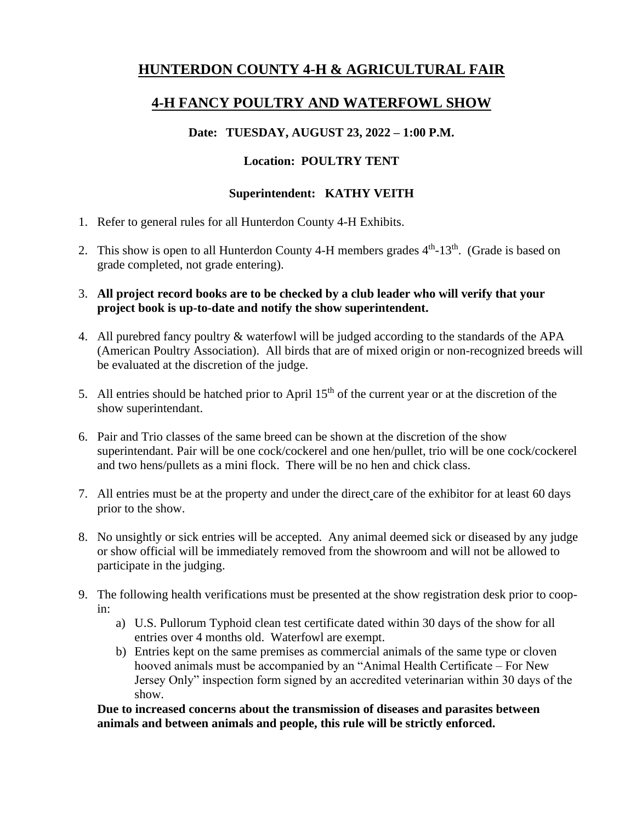# **HUNTERDON COUNTY 4-H & AGRICULTURAL FAIR**

# **4-H FANCY POULTRY AND WATERFOWL SHOW**

### **Date: TUESDAY, AUGUST 23, 2022 – 1:00 P.M.**

### **Location: POULTRY TENT**

#### **Superintendent: KATHY VEITH**

- 1. Refer to general rules for all Hunterdon County 4-H Exhibits.
- 2. This show is open to all Hunterdon County 4-H members grades  $4<sup>th</sup>$ -13<sup>th</sup>. (Grade is based on grade completed, not grade entering).
- 3. **All project record books are to be checked by a club leader who will verify that your project book is up-to-date and notify the show superintendent.**
- 4. All purebred fancy poultry & waterfowl will be judged according to the standards of the APA (American Poultry Association). All birds that are of mixed origin or non-recognized breeds will be evaluated at the discretion of the judge.
- 5. All entries should be hatched prior to April  $15<sup>th</sup>$  of the current year or at the discretion of the show superintendant.
- 6. Pair and Trio classes of the same breed can be shown at the discretion of the show superintendant. Pair will be one cock/cockerel and one hen/pullet, trio will be one cock/cockerel and two hens/pullets as a mini flock. There will be no hen and chick class.
- 7. All entries must be at the property and under the direct care of the exhibitor for at least 60 days prior to the show.
- 8. No unsightly or sick entries will be accepted. Any animal deemed sick or diseased by any judge or show official will be immediately removed from the showroom and will not be allowed to participate in the judging.
- 9. The following health verifications must be presented at the show registration desk prior to coopin:
	- a) U.S. Pullorum Typhoid clean test certificate dated within 30 days of the show for all entries over 4 months old. Waterfowl are exempt.
	- b) Entries kept on the same premises as commercial animals of the same type or cloven hooved animals must be accompanied by an "Animal Health Certificate – For New Jersey Only" inspection form signed by an accredited veterinarian within 30 days of the show.

**Due to increased concerns about the transmission of diseases and parasites between animals and between animals and people, this rule will be strictly enforced.**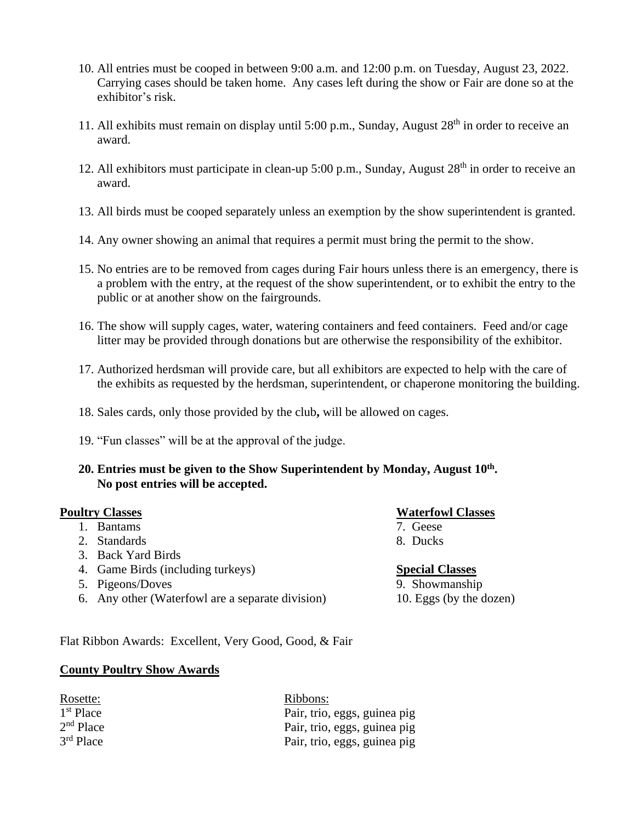- 10. All entries must be cooped in between 9:00 a.m. and 12:00 p.m. on Tuesday, August 23, 2022. Carrying cases should be taken home. Any cases left during the show or Fair are done so at the exhibitor's risk.
- 11. All exhibits must remain on display until 5:00 p.m., Sunday, August 28<sup>th</sup> in order to receive an award.
- 12. All exhibitors must participate in clean-up 5:00 p.m., Sunday, August 28<sup>th</sup> in order to receive an award.
- 13. All birds must be cooped separately unless an exemption by the show superintendent is granted.
- 14. Any owner showing an animal that requires a permit must bring the permit to the show.
- 15. No entries are to be removed from cages during Fair hours unless there is an emergency, there is a problem with the entry, at the request of the show superintendent, or to exhibit the entry to the public or at another show on the fairgrounds.
- 16. The show will supply cages, water, watering containers and feed containers. Feed and/or cage litter may be provided through donations but are otherwise the responsibility of the exhibitor.
- 17. Authorized herdsman will provide care, but all exhibitors are expected to help with the care of the exhibits as requested by the herdsman, superintendent, or chaperone monitoring the building.
- 18. Sales cards, only those provided by the club**,** will be allowed on cages.
- 19. "Fun classes" will be at the approval of the judge.
- **20. Entries must be given to the Show Superintendent by Monday, August 10 th . No post entries will be accepted.**

- 1. Bantams
- 2. Standards 8. Ducks
- 3. Back Yard Birds
- 4. Game Birds (including turkeys) **Special Classes**
- 5. Pigeons/Doves 9. Showmanship
- 6. Any other (Waterfowl are a separate division) 10. Eggs (by the dozen)

# **Poultry Classes**<br>
1. Bantams<br>
1. Bantams<br>
1. Classes

- 
- 

Flat Ribbon Awards: Excellent, Very Good, Good, & Fair

#### **County Poultry Show Awards**

| Rosette:    | Ribbons:                     |
|-------------|------------------------------|
| $1st$ Place | Pair, trio, eggs, guinea pig |
| $2nd$ Place | Pair, trio, eggs, guinea pig |
| $3rd$ Place | Pair, trio, eggs, guinea pig |